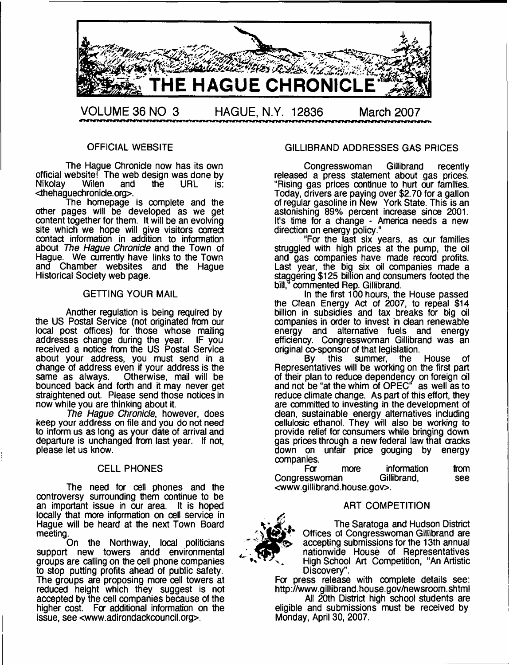

## OFFICIAL WEBSITE

The Hague Chronicle now has its own official website! The web design was done by<br>Nikolay Wilen and the URL is: **Nikolay** <thehaguechronide.org>.

The homepage is complete and the other pages will be developed as we get content together for them. It will be an evolving site which we hope will give visitors correct contact information in addition to information about *The Hague Chronicle* and the Town of Hague. We currently have links to the Town and Chamber websites and the Hague Historical Society web page.

#### GETTING YOUR MAIL

Another regulation is being required by the US Postal Service (not originated from our local post offices) for those whose mailing addresses change during the year. IF you received a notice from the US Postal Service about your address, you must send in a change of address even if your address is the same as always. Otherwise, mail will be bounced back and forth and it may never get straightened out. Please send those notices in now while you are thinking about it.

*The Hague Chronicle*, however, does keep your address on file and you do not need to inform us as long as your date of arrival and departure is unchanged from last year. If not, please let us know.

#### CELL PHONES

The need for cell phones and the controversy surrounding them continue to be an important issue in our area. It is hoped locally that more information on cell service in Hague will be heard at the next Town Board meeting.

On the Northway, local politicians support new towers andd environmental groups are calling on the cell phone companies to stop putting profits ahead of public safety. The groups are proposing more cell towers at reduced height which they suggest is not accepted by the cell companies because of the higher cost. For additional information on the issue, see <[www.adirondackcouncil.org](http://www.adirondackcouncil.org)>.

## GILLIBRAND ADDRESSES GAS PRICES

Congresswoman Gillibrand recently released a press statement about gas prices. "Rising gas prices continue to hurt our families. Today, drivers are paying over \$2.70 for a gallon of regular gasoline in New York State. This is an astonishing 89% percent increase since 2001. It's time for a change - America needs a new direction on energy policy."

"For the last six years, as our families struggled with high prices at the pump, the oil and gas companies have made record profits. Last year, the big six oil companies made a staggering \$125 billion and consumers footed the bill," commented Rep. Gillibrand.

In the first 100 hours, the House passed the Clean Energy Act of 2007, to repeal \$14 billion in subsidies and tax breaks for big oil companies in order to invest in clean renewable energy and alternative fuels and energy efficiency. Congresswoman Gillibrand was an original co-sponsor of that legislation.

By this summer, the House of Representatives will be working on the first part of their plan to reduce dependency on foreign oil and not be "at the whim of OPEC" as well as to reduce climate change. As part of this effort, they are committed to investing in the development of dean, sustainable energy alternatives induding cellulosic ethanol. They will also be working to provide relief for consumers while bringing down gas prices through a new federal law that cracks down on unfair price gouging by energy companies.

more information from Congresswoman Gillibrand, see <[www.gillibrand.house.gov](http://www.gillibrand.house.gov)>.

#### ART COMPETITION



The Saratoga and Hudson District Offices of Congresswoman Gillibrand are accepting submissions for the 13th annual nationwide House of Representatives ' High School Art Competition, "An Artistic Discovery".

Fa press release with complete details see: <http://www.gillibrand.house.gov/newsroom.shtml>

All 20th District high school students are eligible and submissions must be received by Monday, April 30, 2007.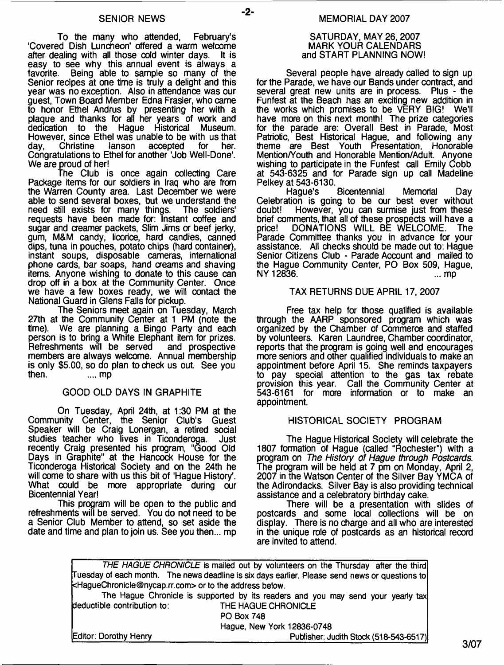-2-

To the many who attended, February's 'Covered Dish Luncheon' offered a warm welcome<br>after dealing with all those cold winter days. It is after dealing with all those cold winter days. easy to see why this annual event is always a favorite. Being able to sample so many of the Being able to sample so many of the Senior recipes at one time is truly a delight and this year was no exception. Also in attendance was our guest, Town Board Member Edna Frasier, who came to honor Ethel Andrus by presenting her with a plaque and thanks for all her years of work and dedication to the Hague Historical Museum. However, since Ethel was unable to be with us that day, Christine lanson accepted for her. accepted Congratulations to Ethel for another 'Job Well-Done1. We are proud of her!

The Club is once again collecting Care Package items for our soldiers in Iraq who are from the Warren County area. Last December we were able to send several boxes, but we understand the need still exists for many things. The soldiers' requests have been made for: Instant coffee and sugar and creamer packets, Slim Jims or beef jerky, gum, M&M candy, licorice, hard candies, canned dips, tuna in pouches, potato chips (hard container), instant soups, disposable cameras, international phone cards, bar soaps, hand creams and shaving items. Anyone wishing to donate to this cause can drop off in a box at the Community Center. Once we have a few boxes ready, we will contact the National Guard in Glens Falls for pickup.

The Seniors meet again on Tuesday, March 27th at the Community Center at 1 PM (note the time). We are planning a Bingo Party and each We are planning a Bingo Party and each person is to bring a White Elephant item for prizes.<br>Refreshments will be served and prospective Refreshments will be served members are always welcome. Annual membership is only \$5.00, so do plan to check us out. See you then. .... mp

#### GOOD OLD DAYS IN GRAPHITE

On Tuesday, April 24th, at 1:30 PM at the Community Center, the Senior Club's Guest Speaker will be Craig Lonergan, a retired social studies teacher who lives in Ticonderoga. Just recently Craig presented his program, "Good Old Days in Graphite" at the Hancock House for the Ticonderoga Historical Society and on the 24th he will come to share with us this bit of 'Hague History'. What could be more appropriate during our Bicentennial Year!

This program will be open to the public and refreshments will be served. You do not need to be a Senior Club Member to attend, so set aside the date and time and plan to join us. See you then... mp

#### SATURDAY, MAY 26, 2007 MARK YOUR CALENDARS and START PLANNING NOW!

Several people have already called to sign up for the Parade, we have our Bands under contract, and several great new units are in process. Plus - the Funfest at the Beach has an exciting new addition in the works which promises to be VERY BIG! We'll have more on this next month! The prize categories for the parade are: Overall Best in Parade, Most Patriotic, Best Historical Hague, and following any theme are Best Youth Presentation, Honorable Mention/Youth and Honorable Mention/Adult. Anyone wishing to participate in the Funfest call Emily Cobb at 543-6325 and for Parade sign up call Madeline

Pelkey at 543-6130. Bicentennial Memorial Day Celebration is going to be our best ever without doubt! However, you can surmise just from these However, you can surmise just from these brief comments, that all of these prospects will have a<br>price! DONATIONS WILL BE WELCOME. The DONATIONS WILL BE WELCOME. Parade Committee thanks you in advance for your assistance. All checks should be made out to: Hague Senior Citizens Club - Parade Account and mailed to the Hague Community Center, PO Box 509, Hague, NY 12836. ...mp

#### TAX RETURNS DUE APRIL 17, 2007

Free tax help for those qualified is available through the AARP sponsored program which was organized by the Chamber of Commerce and staffed by volunteers. Karen Laundree, Chamber coordinator, reports that the program is going well and encourages more seniors and other qualified individuals to make an appointment before April 15. She reminds taxpayers to pay special attention to the gas tax rebate provision this year. Call the Community Center at 543-6161 for more information or to make an appointment.

#### HISTORICAL SOCIETY PROGRAM

The Hague Historical Society will celebrate the 1807 formation of Hague (called "Rochester") with a program on *The History of Hague through Postcards*. The program will be held at 7 pm on Monday, April 2, 2007 in the Watson Center of the Silver Bay YMCA of the Adirondacks. Silver Bay is also providing technical assistance and a celebratory birthday cake.

There will be a presentation with slides of postcards and some local collections will be on display. There is no charge and all who are interested in the unique role of postcards as an historical record are invited to attend.

|                                                                                      | THE HAGUE CHRONICLE is mailed out by volunteers on the Thursday after the third                |
|--------------------------------------------------------------------------------------|------------------------------------------------------------------------------------------------|
|                                                                                      | Tuesday of each month. The news deadline is six days earlier. Please send news or questions to |
| <haguechronicle@nycap.rr.com> or to the address below.</haguechronicle@nycap.rr.com> |                                                                                                |
|                                                                                      | The Hague Chronicle is supported by its readers and you may send your yearly tax               |
| deductible contribution to:                                                          | THE HAGUE CHRONICLE                                                                            |
|                                                                                      | <b>PO Box 748</b>                                                                              |
|                                                                                      | Hague, New York 12836-0748                                                                     |
| Editor: Dorothy Henry                                                                | Publisher: Judith Stock (518-543-6517)                                                         |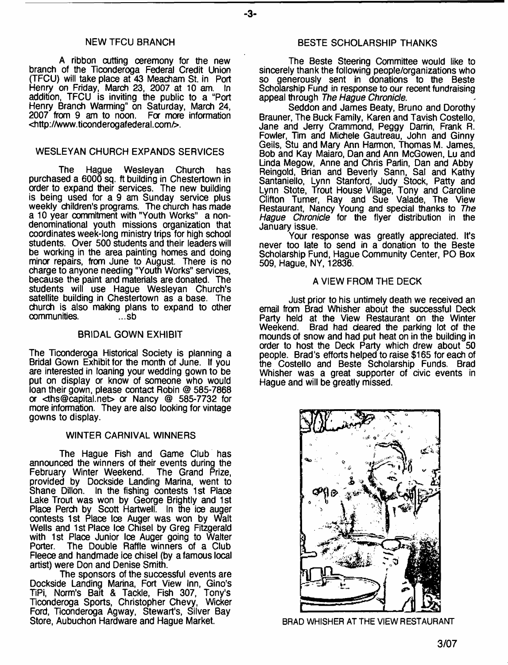#### NEW TFCU BRANCH

A ribbon cutting ceremony for the new branch of the Ticonderoga Federal Credit Union (TFCU) will take place at 43 Meacham St. in Port Henry on Friday, March 23, 2007 at 10 am. In addition, TFCU is inviting the public to a "Port Henry Branch Warming" on Saturday, March 24, 2007 from 9 am to noon. For more information <<http://www.ticonderogafederal.com/>>.

#### WESLEYAN CHURCH EXPANDS SERVICES

The Hague Wesleyan Church has purchased a 6000 sq. ft building in Chestertown in order to expand their services. The new building is being used for a 9 am Sunday service plus weekly children's programs. The church has made a 10 year commitment with "Youth Works" a nondenominational youth missions organization that coordinates week-long ministry trips for high school students. Over 500 students and their leaders will be working in the area painting homes and doing minor repairs, from June to August. There is no charge to anyone needing "Youth Works" services, because the paint and materials are donated. The students will use Hague Wesleyan Church's satellite building in Chestertown as a base. The church is also making plans to expand to other communities. communities.

#### BRIDAL GOWN EXHIBIT

The Ticonderoga Historical Society is planning a Bridal Gown Exhibit for the month of June. If you are interested in loaning your wedding gown to be put on display or know of someone who would loan their gown, please contact Robin @ 585-7868 or [<ths@capital.net](mailto:ths@capital.net)> or Nancy @ 585-7732 for more information. They are also looking for vintage gowns to display.

#### WINTER CARNIVAL WINNERS

The Hague Fish and Game Club has announced the winners of their events during the February Winter Weekend. The Grand Prize, February Winter Weekend. The Grand Prize, provided by Dockside Landing Marina, went to Shane Dillon. In the fishing contests 1st Place Lake Trout was won by George Brightly and 1st Place Perch by Scott Hartwell. In the ice auger contests 1st Place Ice Auger was won by Walt Wells and 1st Place Ice Chisel by Greg Fitzgerald with 1st Place Junior Ice Auger going to Walter<br>Porter. The Double Raffle winners of a Club The Double Raffle winners of a Club Fleece and handmade ice chisel (by a famous local artist) were Don and Denise Smith.

The sponsors of the successful events are Dockside Landing Marina, Fort View Inn, Gino's TiPi, Norm's Bait & Tackle, Fish 307, Tony's Ticonderoga Sports, Christopher Chevy, Wicker Ford, Ticonderoga Agway, Stewart's, Silver Bay Store, Aubuchon Hardware and Hague Market.

#### BESTE SCHOLARSHIP THANKS

The Beste Steering Committee would like to sincerely thank the following people/organizations who so generously sent in donations to the Beste Scholarship Fund in response to our recent fundraising appeal through *The Hague Chronicle*.

Seddon and James Beaty, Bruno and Dorothy Brauner, The Buck Family, Karen and Tavish Costello, Jane and Jerry Crammond, Peggy Darrin, Frank R. Fowler, Tim and Michele Gautreau, John and Ginny Geils, Stu and Mary Ann Harmon, Thomas M. James, Bob and Kay Maiaro, Dan and Ann McGowen, Lu and Linda Megow, Anne and Chris Parlin, Dan and Abby Reingold, Brian and Beverly Sann, Sal and Kathy Santaniello, Lynn Stanford, Judy Stock, Patty and Lynn Stote, Trout House Village, Tony and Caroline Clifton Turner, Ray and Sue Valade, The View Restaurant, Nancy Young and special thanks to *The Hague Chronicle* for the flyer distribution in the January issue.

Your response was greatly appreciated. It's never too late to send in a donation to the Beste Scholarship Fund, Hague Community Center, PO Box 509, Hague, NY, 12836.

#### A VIEW FROM THE DECK

Just prior to his untimely death we received an email from Brad Whisher about the successful Deck Party held at the View Restaurant on the Winter Weekend. Brad had deared the parking lot of the mounds of snow and had put heat on in the building in order to host the Deck Party which drew about 50 people. Brad's efforts helped to raise \$165 for each of the Costello and Beste Scholarship Funds. Brad Whisher was a great supporter of civic events in Hague and will be greatly missed.



**BRAD WHISHER AT THE VIEW RESTAURANT**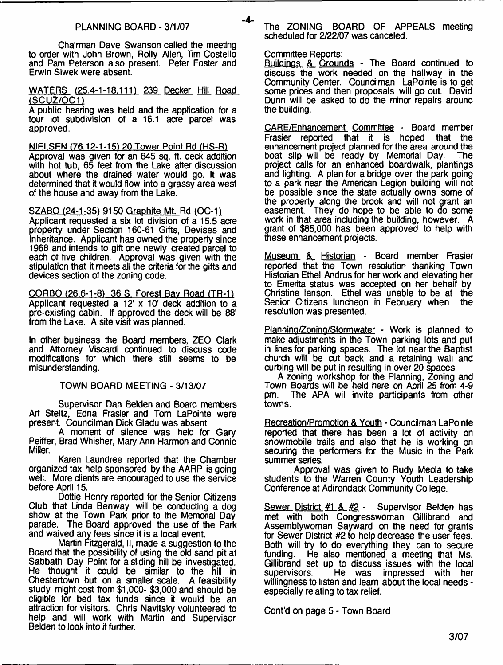#### PLANNING BOARD - 3/1/07

Chairman Dave Swanson called the meeting to order with John Brown, Roily Allen, Tim Costello and Pam Peterson also present. Peter Foster and Erwin Siwek were absent.

#### WATERS (25.4-1-18.111) 239 Decker Hill Road (SCUZ/OC11

A public hearing was held and the application for a four lot subdivision of a 16.1 acre parcel was approved.

NIELSEN (76.12-1-15) 20 Tower Point Rd (HS-R) Approval was given for an 845 sq. ft. deck addition with hot tub, 65 feet from the Lake after discussion about where the drained water would go. It was determined that it would flow into a grassy area west of the house and away from the Lake.

SZABO (24-1-35) 9150 Graphite Mt. Rd (OC-1) Applicant requested a six lot division of a 15.5 acre property under Section 160-61 Gifts, Devises and Inheritance. Applicant has owned the property since 1968 and intends to gift one newly created parcel to each of five children. Approval was given with the

stipulation that it meets all the criteria for the gifts and

devices section of the zoning code.

CORBO (26.6-1-8) 36 S. Forest Bay Road (TR-1) Applicant requested a 12' x 10' deck addition to a pre-existing cabin. If approved the deck will be 88' from the Lake. A site visit was planned.

In other business the Board members, ZEO Clark and Attorney Viscardi continued to discuss code modifications for which there still seems to be misunderstanding.

### TOWN BOARD MEETING - 3/13/07

Supervisor Dan Belden and Board members Art Steitz, Edna Frasier and Tom LaPointe were present. Councilman Dick Gladu was absent.

A moment of silence was held for Gary Peiffer, Brad Whisher, Mary Ann Harmon and Connie Miller.

Karen Laundree reported that the Chamber organized tax help sponsored by the AARP is going well. More clients are encouraged to use the service before April 15.

Dottie Henry reported for the Senior Citizens Club that Linda Benway will be conducting a dog show at the Town Park prior to the Memorial Day parade. The Board approved the use of the Park and waived any fees since it is a local event.

Martin Fitzgerald, II, made a suggestion to the Board that the possibility of using the old sand pit at Sabbath Day Point for a sliding hill be investigated. He thought it could be similar to the hill in Chestertown but on a smaller scale. A feasibility study might cost from \$1,000- \$3,000 and should be eligible for bed tax funds since it would be an attraction for visitors. Chris Navitsky volunteered to help and will work with Martin and Supervisor Belden to look into it further.

The ZONING BOARD OF APPEALS meeting scheduled for 2/22/07 was canceled.

#### Committee Reports:

-4-

Buildings & Grounds - The Board continued to discuss the work needed on the hallway in the Community Center. Councilman LaPointe is to get some prices and then proposals will go out. David Dunn will be asked to do the minor repairs around the building.

CARE/Enhancement Committee - Board member Frasier reported that it is hoped that the enhancement project planned for the area around the boat slip will be ready by Memorial Day. The boat slip will be ready by Memorial Day. project calls for an enhanced boardwalk, plantings and lighting. A plan for a bridge over the park going to a park near the American Legion building will not be possible since the state actually owns some of the property along the brook and will not grant an easement. They do hope to be able to do some work in that area including the building, however. A grant of \$85,000 has been approved to help with these enhancement projects.

Museum & Historian - Board member Frasier reported that the Town resolution thanking Town Historian Ethel Andrus for her work and elevating her to Emerita status was accepted on her behalf by Christine lanson. Ethel was unable to be at the Senior Citizens luncheon in February when resolution was presented.

Planning/Zoning/Stormwater - Work is planned to make adjustments in the Town parking lots and put in lines for parking spaces. The lot near the Baptist church will be cut back and a retaining wall and curbing will be put in resulting in over 20 spaces.

A zoning workshop for the Planning, Zoning and Town Boards will be held here on April 25 from 4-9 pm. The APA will invite participants from other towns.

Recreation/Promotion & Youth - Councilman LaPointe reported that there has been a lot of activity on snowmobile trails and also that he is working on securing the performers for the Music in the Park summer series.

Approval was given to Rudy Meola to take students to the Warren County Youth Leadership Conference at Adirondack Community College.

Sewer District #1 & #2 - Supervisor Belden has met with both Congresswoman Gillibrand and Assemblywoman Sayward on the need for grants for Sewer District #2 to help decrease the user fees. Both will try to do everything they can to secure funding. He also mentioned a meeting that Ms. Gillibrand set up to discuss issues with the local<br>supervisors. He was impressed with her He was impressed with her willingness to listen and learn about the local needs especially relating to tax relief.

Cont'd on page 5 - Town Board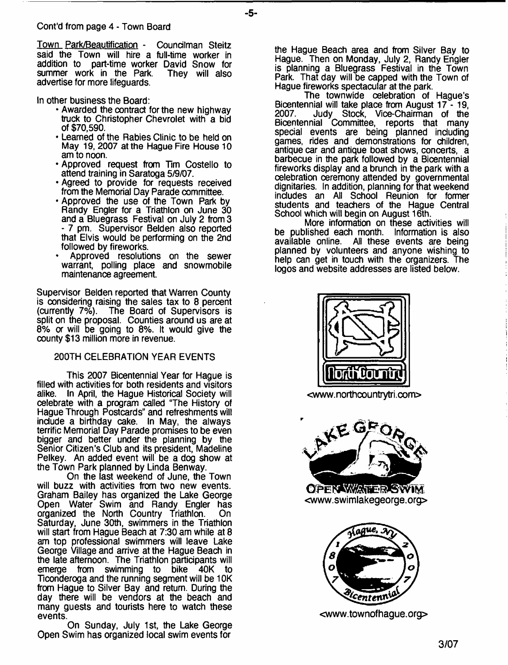Town Park/Beautification - Councilman Steitz said the Town will hire a full-time worker in addition to part-time worker David Snow for summer work in the Park. advertise for more lifeguards.

- **5**-

In other business the Board:

- Awarded the contract for the new highway truck to Christopher Chevrolet with a bid of \$70,590.
- Learned of the Rabies Clinic to be held on May 19, 2007 at the Hague Fire House 10 am to noon.
- Approved request from Tim Costello to attend training in Saratoga 5/9/07.
- Agreed to provide for requests received from the Memorial Day Parade committee.
- Approved the use of the Town Park by Randy Engler for a Triathlon on June 30 and a Bluegrass Festival on July 2 from 3 - 7 pm. Supervisor Belden also reported that Elvis would be performing on the 2nd followed by fireworks.
- Approved resolutions on the sewer warrant, polling place and snowmobile maintenance agreement.

Supervisor Belden reported that Warren County is considering raising the sales tax to 8 percent (currently 7%). The Board of Supervisors is split on the proposal. Counties around us are at 8% or will be going to 8%. It would give the county \$13 million more in revenue.

# 200TH CELEBRATION YEAR EVENTS

This 2007 Bicentennial Year for Hague is filled with activities for both residents and visitors In April, the Hague Historical Society will celebrate with a program called "The History of Hague Through Postcards" and refreshments will include a birthday cake. In May, the always terrific Memorial Day Parade promises to be even bigger and better under the planning by the Senior Citizen's Club and its president, Madeline Pelkey. An added event will be a dog show at the Town Park planned by Linda Benway.

On the last weekend of June, the Town will buzz with activities from two new events. Graham Bailey has organized the Lake George Open Water Swim and Randy Engler has organized the North Country Triathlon. On Saturday, June 30th, swimmers in the Triathlon will start from Hague Beach at 7:30 am while at 8 am top professional swimmers will leave Lake George Village and arrive at the Hague Beach in the late afternoon. The Triathlon participants will<br>emerge from swimming to bike 40K to emerge from swimming to bike Ticonderoga and the running segment will be 10K from Hague to Silver Bay and return. During the day there will be vendors at the beach and many guests and tourists here to watch these events.

On Sunday, July 1st, the Lake George Open Swim has organized local swim events for

the Hague Beach area and from Silver Bay to Hague. Then on Monday, July 2, Randy Engler is planning a Bluegrass Festival in the Town Park. That day will be capped with the Town of Hague fireworks spectacular at the park.

The townwide celebration of Hague's Bicentennial will take place from August 17 - 19, 2007. Judy Stock, Vice-Chairman of the Bicentennial Committee, reports that many special events are being planned including games, rides and demonstrations for children, antique car and antique boat shows, concerts, a barbecue in the park followed by a Bicentennial fireworks display and a brunch in the park with a celebration ceremony attended by governmental dignitaries. In addition, planning for that weekend includes an All School Reunion for former students and teachers of the Hague Central School which will begin on August 16th.

More information on these activities will be published each month. Information is also available online. All these events are being planned by volunteers and anyone wishing to help can get in touch with the organizers. The logos and website addresses are listed below.



<www. north countrytri. co m>



**OPEN WATER SWIM** <www.swimlakegeorge.org>



<[www.townofhague.org](http://www.townofhague.org)>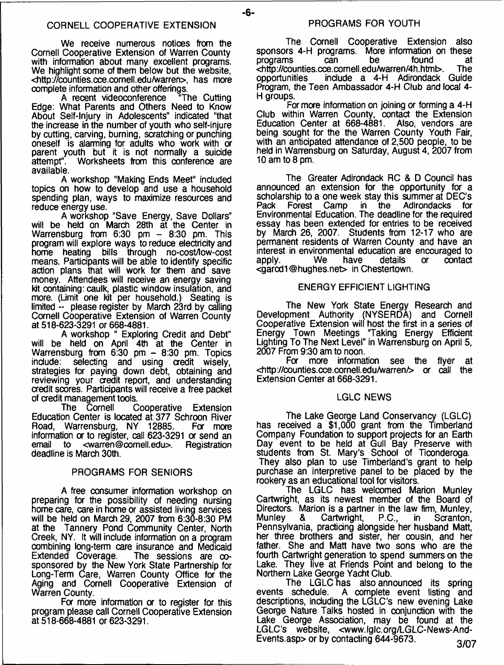- **6**-

We receive numerous notices from the Cornell Cooperative Extension of Warren County with information about many excellent programs. We highlight some of them below but the website, <[http://counties.cce.cornell.edu/warren>](http://counties.cce.cornell.edu/warren), has more complete information and other offerings.<br>A recent videoconference "The Cutting

A recent videoconference Edge: What Parents and Others Need to Know About Self-Injury in Adolescents" indicated "that the increase in the number of youth who self-injure by cutting, carving, burning, scratching or punching oneself is alarming for adults who work with or parent youth but it is not normally a suicide<br>attempt". Worksheets from this conference are Worksheets from this conference are available.

A workshop "Making Ends Meet" included topics on how to develop and use a household spending plan, ways to maximize resources and reduce energy use.

A workshop "Save Energy, Save Dollars" will be held on March 28th at the Center in Warrensburg from 6:30 pm - 8:30 pm. This program will explore ways to reduce electricity and home heating bills through no-cost/low-cost means. Participants will be able to identify specific action plans that will work for them and save money. Attendees will receive an energy saving kit containing: caulk, plastic window insulation, and more. (Limit one kit per household.) Seating is limited -- please register by March 23rd by calling Cornell Cooperative Extension of Warren County at 518-623-3291 or 668-4881.

A workshop " Exploring Credit and Debt" will be held on April 4th at the Center in Warrensburg from 6:30 pm - 8:30 pm. Topics include: selecting and using credit wisely, strategies for paying down debt, obtaining and reviewing your credit report, and understanding credit scores. Participants will receive a free packet of credit management tools.

Cooperative Extension Education Center is located at 377 Schroon River Road, Warrensburg, NY 12885. information or to register, call 623-3291 or send an<br>email to <warren@cornell.edu>. Registration <[warren@comell.edu>](mailto:warren@comell.edu). Registration deadline is March 30th.

### PROGRAMS FOR SENIORS

A free consumer information workshop on preparing for the possibility of needing nursing home care, care in home or assisted living services will be held on March 29, 2007 from 6:30-8:30 PM at the Tannery Pond Community Center, North Creek, NY. It will include information on a program combining long-term care insurance and Medicaid The sessions are  $\infty$ sponsored by the New York State Partnership for Long-Term Care, Warren County Office for the Aging and Cornell Cooperative Extension of Warren County.

For more information or to register for this program please call Cornell Cooperative Extension at 518-668-4881 or 623-3291.

The Cornell Cooperative Extension also sponsors 4-H programs. More information on these<br>programs can be found at programs can be found at <<http://counties.cce.comell.edu/warren/4h.html>>. The opportunities include a 4-H Adirondack Guide Program, the Teen Ambassador 4-H Club and local 4- H groups.

Formore information on joining or forming a 4-H Club within Warren County, contact the Extension Education Center at 668-4881. Also, vendors are being sought for the the Warren County Youth Fair, with an anticipated attendance of 2,500 people, to be held in Warrensburg on Saturday, August 4, 2007 from 10 am to 8 pm.

The Greater Adirondack RC & D Council has announced an extension for the opportunity for a scholarship to a one week stay this summer at DEC's<br>Pack Forest Camp in the Adirondacks for Adirondacks for Environmental Education. The deadline for the required essay has been extended for entries to be received by March 26, 2007. Students from 12-17 who are permanent residents of Warren County and have an interest in environmental education are encouraged to contact <garcd1 ©hughes.net> in Chestertown.

#### ENERGY EFFICIENT LIGHTING

The New York State Energy Research and Development Authority (NYSERDA) and Cornell Cooperative Extension will host the first in a series of Energy Town Meetings "Taking Energy Efficient Lighting To The Next Level" in Warrensburg on April 5, 2007 From 9:30 am to noon.

see the flyer at <[http://counties.cce.cornell.edu/warren/>](http://counties.cce.cornell.edu/warren/) or call the Extension Center at 668-3291.

### LGLC NEWS

The Lake George Land Conservancy (LGLC) has received a \$1,000 grant from the Timberland Company Foundation to support projects for an Earth Day event to be held at Gull Bay Preserve with students from St. Mary's School of Ticonderoga. They also plan to use Timberland's grant to help purchase an interpretive panel to be placed by the rookery as an educational tool for visitors.

The LGLC has welcomed Marion Munley Cartwright, as its newest member of the Board of Directors. Marion is a partner in the law firm, Munley,<br>Munley & Cartwright, P.C., in Scranton, Munley & Cartwright, P.C., in Saanton, Pennsylvania, practicing alongside her husband Matt, her three brothers and sister, her cousin, and her father. She and Matt have two sons who are the fourth Cartwright generation to spend summers on the Lake. They live at Friends Point and belong to the Northern Lake George Yacht Club.

The LGLC has also announced its spring events schedule. A complete event listing and descriptions, including the LGLC's new evening Lake George Nature Talks hosted in conjunction with the Lake George Association, may be found at the LGLC's website, [<www.lglc.org/LGLC-News-And-](http://www.lglc.org/LGLC-News-And-%e2%80%a8Events.asp)[Events.asp>](http://www.lglc.org/LGLC-News-And-%e2%80%a8Events.asp) or by contacting  $644-9673$ . 3/07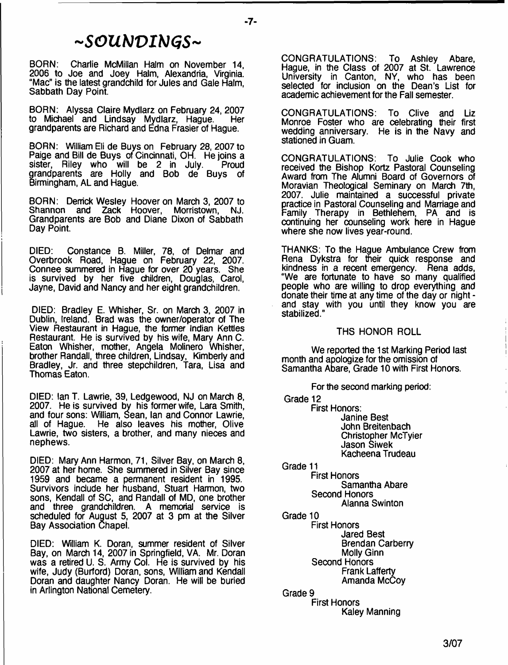# **- S O U N D I N G S -**

BORN: Charlie McMillan Halm on November 14, 2006 to Joe and Joey Halm, Alexandria, Virginia. "Mac" is the latest grandchild for Jules and Gale Halm, Sabbath Day Point.

BORN: Alyssa Claire Mydlarz on February 24, 2007 to Michael and Lindsay Mydlarz, Hague. grandparents are Richard and Edna Frasier of Hague.

BORN: William Eli de Buys on February 28, 2007 to Paige and Bill de Buys of Cincinnati, OH. He joins a sister, Riley who will be 2 in July. Proud grandparents are Holly and Bob de Buys of Birmingham, AL and Hague.

BORN: Derrick Wesley Hoover on March 3, 2007 to<br>Shannon and Zack Hoover, Morristown, NJ. Zack Hoover, Grandparents are Bob and Diane Dixon of Sabbath Day Point.

DIED: Constance B. Miller, 78, of Delmar and Overbrook Road, Hague on February 22, 2007. Connee summered in Hague for over 20 years. She is survived by her five children, Douglas, Carol, Jayne, David and Nancy and her eight grandchildren.

DIED: Bradley E. Whisher, Sr. on March 3, 2007 in Dublin, Ireland. Brad was the owner/operator of The View Restaurant in Hague, the former Indian Kettles Restaurant. He is survived by his wife, Mary Ann C. Eaton Whisher, mother, Angela Molinero Whisher, brother Randall, three children, Lindsay, Kimberly and Bradley, Jr. and three stepchildren, Tara, Lisa and Thomas Eaton.

DIED: Ian T. Lawrie, 39, Ledgewood, NJ on March 8, 2007. He is survived bv his former wife, Lara Smith, and four sons: William, Sean, Ian and Connor Lawrie, all of Hague. He also leaves his mother, Olive Lawrie, two sisters, a brother, and many nieces and nephews.

DIED: Mary Ann Harmon, 71, Silver Bay, on March 8, 2007 at her home. She summered in Silver Bay since 1959 and became a permanent resident in 1995. Survivors include her husband, Stuart Harmon, two sons, Kendall of SC, and Randall of MD, one brother and three grandchildren. A memorial service is scheduled for August 5, 2007 at 3 pm at the Silver Bay Association Chapel.

DIED: William K. Doran, summer resident of Silver Bay, on March 14, 2007 in Springfield, VA. Mr. Doran was a retired U. S. Army Col. He is survived by his wife, Judy (Burford) Doran, sons, William and Kendall Doran and daughter Nancy Doran. He will be buried in Arlington National Cemetery.

CONGRATULATIONS: To Ashley Abare, Hague, in the Class of 2007 at St. Lawrence University in Canton, NY, who has been selected for inclusion on the Dean's List for academic achievement for the Fall semester.

CONGRATULATIONS: To Clive and Liz Monroe Foster who are celebrating their first wedding anniversary. He is in the Navy and stationed in Guam.

CONGRATULATIONS: To Julie Cook who received the Bishop Kortz Pastoral Counseling Award from The Alumni Board of Governors of Moravian Theological Seminary on March 7th, 2007. Julie maintained a successful private practice in Pastoral Counseling and Marriage and Family Therapy in Bethlehem, PA and is continuing her counseling work here in Hague where she now lives year-round.

THANKS: To the Hague Ambulance Crew from Rena Dykstra for their quick response and kindness in a recent emergency. Rena adds, "We are fortunate to have so many qualified people who are willing to drop everything and donate their time at any time of the day or night and stay with you until they know you are stabilized."

#### THS HONOR ROLL

We reported the 1st Marking Period last month and apologize for the omission of Samantha Abare, Grade 10 with First Honors.

For the second marking period:

Grade 12

First Honors: Janine Best John Breitenbach Christopher McTyier Jason siwek Kacheena Trudeau

Grade 11

First Honors Samantha Abare Second Honors Alanna Swinton

Grade 10

First Honors Jared Best Brendan Carberry Molly Ginn Second Honors Frank Lafferty Amanda McCoy

Grade 9 First Honors Kaley Manning

- **7**-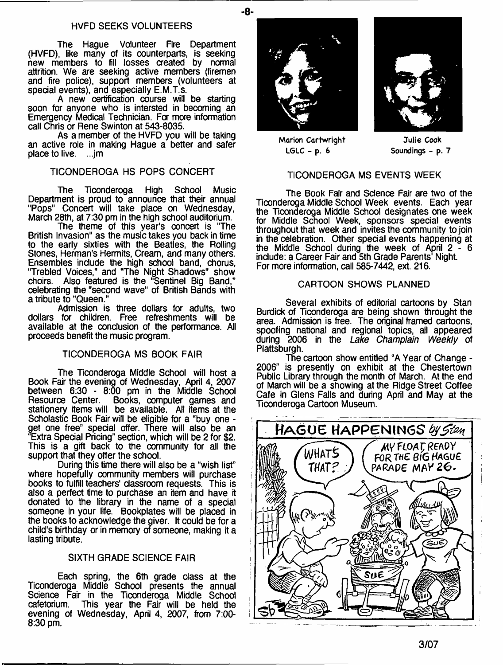#### HVFD SEEKS VOLUNTEERS

The Hague Volunteer Fire Department (HVFD), like many of its counterparts, is seeking new members to fill losses created by normal attrition. We are seeking active members (firemen and fire police), support members (volunteers at special events), and especially E.M.T.s.

A new certification course will be starting soon for anyone who is intersted in becoming an Emergency Medical Technician. Fa more information call Chris or Rene Swinton at 543-8035.

As a member of the HVFD you will be taking an active role in making Hague a better and safer place to live. ...jm

# TICONDEROGA HS POPS CONCERT

The Ticonderoga High School Music Department is proud to announce that their annual "Pops" Concert will take place on Wednesday, March 28th, at 7:30 pm in the high school auditorium.

The theme of this year's concert is "The British Invasion" as the music takes you back in time to the early sixties with the Beatles, the Rolling Stones, Herman's Hermits, Cream, and many others. Ensembles include the high school band, chorus, "Trebled Voices," and "The Night Shadows" show choirs. Also featured is the "Sentinel Big Band," celebrating the "second wave" of British Bands with a tribute to "Queen."

Admission is three dollars for adults, two dollars for children. Free refreshments will be available at the conclusion of the performance. All proceeds benefit the music program.

# TICONDEROGA MS BOOK FAIR

The Ticonderoga Middle School will host a Book Fair the evening of Wednesday, April 4, 2007 between 6:30 - 8:00 pm in the Middle School<br>Resource Center. Books, computer games and Books, computer games and stationery items will be available. All items at the Scholastic Book Fair will be eligible for a "buy one get one free" special offer. There will also be an "Extra Special Pricing" section, which will be 2 for \$2. This is a gift back to the community for all the support that they offer the school.

During this time there will also be a "wish list" where hopefully community members will purchase books to fulfill teachers' classroom requests. This is also a perfect time to purchase an item and have it donated to the library in the name of a special someone in your life. Bookplates will be placed in the books to acknowledge the giver. It could be for a child's birthday or in memory of someone, making it a lasting tribute.

# SIXTH GRADE SCIENCE FAIR

Each spring, the 6th grade class at the Ticonderoga Middle School presents the annual Science Fair in the Ticonderoga Middle School cafetorium. This year the Fair will be held the This year the Fair will be held the evening of Wednesday, April 4, 2007, from 7:00- 8:30 pm.





**Marion Cartwright LGLC - p. 6**

**Julie Cook Soundings - p. 7**

# TICONDEROGA MS EVENTS WEEK

The Book Fair and Science Fair are two of the Ticonderoga Middle School Week events. Each year the Ticonderoga Middle School designates one week for Middle School Week, sponsors special events throughout that week and invites the community to join in the celebration. Other special events happening at the Middle School during the week of April 2 - 6 include: a Career Fair and 5th Grade Parents' Night. For more information, call 585-7442, ext. 216.

#### CARTOON SHOWS PLANNED

Several exhibits of editorial cartoons by Stan Burdick of Ticonderoga are being shown throught the area. Admission is free. The original framed cartoons, spoofing national and regional topics, ail appeared during 2006 in the *Lake Champlain Weekly* of Plattsburgh.

The cartoon show entitled "A Year of Change - 2006" is presently on exhibit at the Chestertown Public Library through the month of March. At the end of March will be a showing at the Ridge Street Coffee Cafe in Glens Falls and during April and May at the Ticonderoga Cartoon Museum.

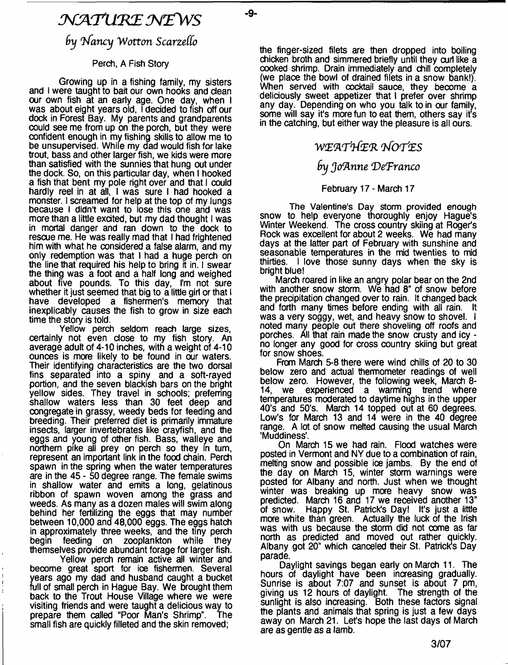# *N J A T X L K E W F W S*

by Nancy Wotton Scarzello

-9-

# Perch, A Fish Story

Growing up in a fishing family, my sisters and I were taught to bait our own hooks and dean our own fish at an early age. One day, when I was about eight years old, I decided to fish off our dock in Forest Bay. My parents and grandparents could see me from up on the porch, but they were confident enough in my fishing skills to allow me to be unsupervised. While my dad would fish for lake trout, bass and other larger fish, we kids were more than satisfied with the sunnies that hung out under the dock. So, on this particular day, when I hooked a fish that bent my pole right over and that I could hardly reel in at all, I was sure I had hooked a monster. I screamed for help at the top of my lungs because I didn't want to lose this one and was more than a little excited, but my dad thought I was in mortal danger and ran down to the dock to rescue me. He was really mad that I had frightened him with what he considered a false alarm, and my only redemption was that I had a huge perch on the line that required his help to bring it in. I swear the thing was a foot and a half long and weighed about five pounds. To this day, I'm not sure whether it just seemed that big to a little girl or that I have developed a fishermen's memory that inexplicably causes the fish to grow in size each time the story is told.

Yellow perch seldom reach large sizes, certainly not even dose to my fish story. An average adult of 4-10 inches, with a weight of 4-10 ounces is more likely to be found in our waters. Their identifying characteristics are the two dorsal fins separated into a spiny and a soft-rayed portion, and the seven blackish bars on the bright yellow sides. They travel in schools; preferring shallow waters less than 30 feet deep and oongregate in grassy, weedy beds for feeding and breeding. Their preferred diet is primarily immature insects, larger invertebrates like crayfish, and the eggs and young of other fish. Bass, walleye and northern pike all prey on perch so they in turn, represent an important link in the food chain. Perch spawn in the spring when the water temperatures are in the 45 - 50 degree range. The female swims in shallow water and emits a long, gelatinous ribbon of spawn woven among the grass and weeds. As many as a dozen males will swim along behind her fertilizing the eggs that may number between 10,000 and 48,000 eggs. The eggs hatch in approximately three weeks, and the tiny perch begin feeding on zooplankton themselves provide abundant forage for larger fish.

Yellow perch remain active all winter and become great sport for ice fishermen. Several years ago my dad and husband caught a bucket full of small perch in Hague Bay. We brought them back to the Trout House Village where we were visiting friends and were taught a delicious way to prepare them called "Poor Man's Shrimp". The small fish are quickly filleted and the skin removed;

the finger-sized filets are then dropped into boiling chicken broth and simmered briefly until they curl like a cooked shrimp. Drain immediately and chill completely (we place the bowl of drained filets in a snow bank!). When served with cocktail sauce, they become a deliciously sweet appetizer that I prefer over shrimp any day. Depending on who you talk to in our family, some will say it's more fun to eat them, others say it's in the catching, but either way the pleasure is all ours.

# *WtE'AT'tf'Z'R VfOT'tES*

# *by Jo'Anne 'De'Franco*

# February 17 - March 17

The Valentine's Day storm provided enough snow to help everyone thoroughly enjoy Hague's Winter Weekend. The cross country skiing at Roger's Rock was excellent for about 2 weeks. We had many days at the latter part of February with sunshine and seasonable temperatures in the mid twenties to mid thirties. I love those sunny days when the sky is bright blue!

March roared in like an angry polar bear on the 2nd with another snow storm. We had 8" of snow before the precipitation changed over to rain. It changed back and forth many times before ending with all rain. It was a very soggy, wet, and heavy snow to shovel. I noted many people out there shoveling off roofs and porches. All that rain made the snow crusty and icy no longer any good for cross country skiing but great for snow shoes.

From March 5-8 there were wind chills of 20 to 30 below zero and actual thermometer readings of well below zero. However, the following week, March 8- 14, we experienced a warming trend where temperatures moderated to daytime highs in the upper 40's and 50's. March 14 topped out at 60 degrees. Low's for March 13 and 14 were in the 40 degree range. A lot of snow melted causing the usual March 'Muddiness'.

On March 15 we had rain. Flood watches were posted in Vermont and NY due to a combination of rain, melting snow and possible ice jambs. By the end of the day on March 15, winter storm warnings were posted for Albany and north. Just when we thought winter was breaking up more heavy snow was predicted. March 16 and 17 we received another 13° of snow. Happy St. Patrick's Day! It's just a little more white than green. Actually the luck of the Irish was with us because the storm did not come as far north as predicted and moved out rather quickly. Albany got 20" which canceled their St. Patrick's Day parade.

Daylight savings began early on March 11. The hours of daylight have been increasing gradually. Sunrise is about 7:07 and sunset is about 7 pm, giving us 12 hours of daylight. The strength of the sunlight is also increasing. Both these factors signal the plants and animals that spring is just a few days away on March 21. Let's hope the last days of March are as gentle as a lamb.